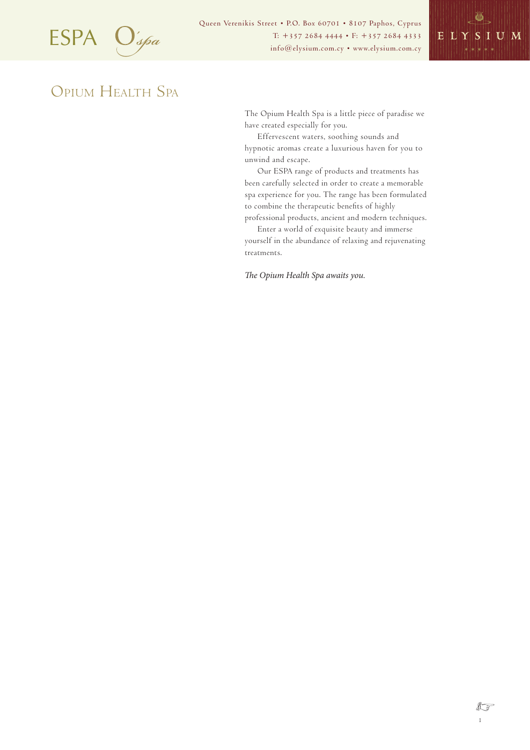

Queen Verenikis Street • P.O. Box 60701 • 8107 Paphos, Cyprus  $ESPA$   $\bigcirc$   $\bigcirc$   $\bigcirc$   $\bigcirc$   $\bigcirc$   $\bigcirc$   $\bigcirc$   $\bigcirc$   $\bigcirc$   $\bigcirc$   $\bigcirc$   $\bigcirc$   $\bigcirc$   $\bigcirc$   $\bigcirc$   $\bigcirc$   $\bigcirc$   $\bigcirc$   $\bigcirc$   $\bigcirc$   $\bigcirc$   $\bigcirc$   $\bigcirc$   $\bigcirc$   $\bigcirc$   $\bigcirc$   $\bigcirc$   $\bigcirc$   $\bigcirc$   $\bigcirc$   $\bigcirc$   $\bigcirc$   $\bigcirc$   $\bigcirc$   $\bigcirc$   $\bigcirc$ 



# OPIUM HEALTH SPA

The Opium Health Spa is a little piece of paradise we have created especially for you.

Effervescent waters, soothing sounds and hypnotic aromas create a luxurious haven for you to unwind and escape.

Our ESPA range of products and treatments has been carefully selected in order to create a memorable spa experience for you. The range has been formulated to combine the therapeutic benefits of highly professional products, ancient and modern techniques.

Enter a world of exquisite beauty and immerse yourself in the abundance of relaxing and rejuvenating treatments.

*The Opium Health Spa awaits you.*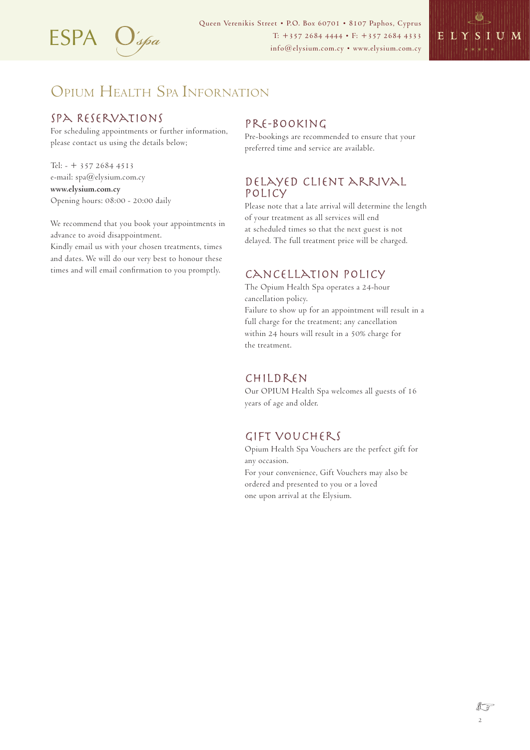

Queen Verenikis Street • P.O. Box 60701 • 8107 Paphos, Cyprus  $ESPA$   $\bigcup_{\text{space}}'$   $\bigcup_{\text{if} \text{new}}'$   $\bigcup_{\text{if} \text{new}}'$   $\bigcup_{\text{if} \text{new}}'$   $\bigcup_{\text{if} \text{new}}'$   $\bigcup_{\text{if} \text{new}}'$   $\bigcup_{\text{new}}'$   $\bigcup_{\text{new}}'$ 



# OPIUM HEALTH SPA INFORNATION

### Spa Reservations

For scheduling appointments or further information, please contact us using the details below;

Tel: - + 357 2684 4513 e-mail: spa@elysium.com.cy **www.elysium.com.cy** Opening hours: 08:00 - 20:00 daily

We recommend that you book your appointments in advance to avoid disappointment.

Kindly email us with your chosen treatments, times and dates. We will do our very best to honour these times and will email confirmation to you promptly.

#### Pre-booking

Pre-bookings are recommended to ensure that your preferred time and service are available.

#### Delayed client arrival policy

Please note that a late arrival will determine the length of your treatment as all services will end at scheduled times so that the next guest is not delayed. The full treatment price will be charged.

#### Cancellation Policy

The Opium Health Spa operates a 24-hour cancellation policy. Failure to show up for an appointment will result in a full charge for the treatment; any cancellation within 24 hours will result in a 50% charge for the treatment.

#### Children

Our OPIUM Health Spa welcomes all guests of 16 years of age and older.

### Gift vouchers

Opium Health Spa Vouchers are the perfect gift for any occasion. For your convenience, Gift Vouchers may also be ordered and presented to you or a loved one upon arrival at the Elysium.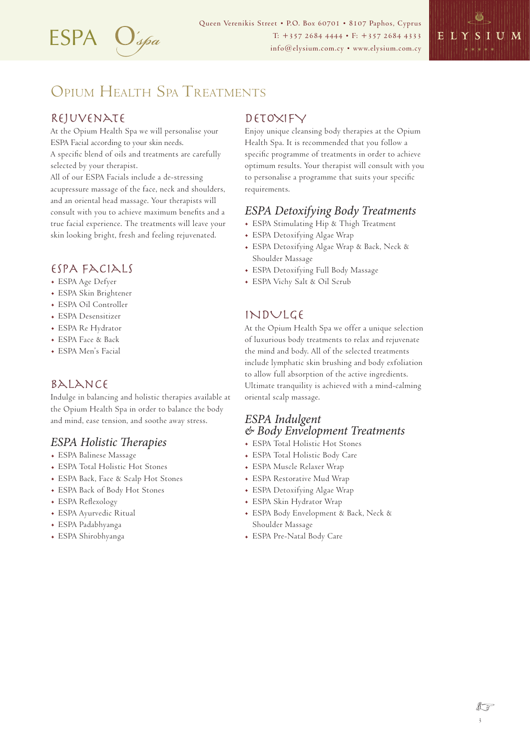

Queen Verenikis Street • P.O. Box 60701 • 8107 Paphos, Cyprus T: +357 2684 4444 • F: +357 2684 4333 ESPA info@elysium.com.cy • www.elysium.com.cy

# OPIUM HEALTH SPA TREATMENTS

# Rejuvenate

At the Opium Health Spa we will personalise your ESPA Facial according to your skin needs. A specific blend of oils and treatments are carefully selected by your therapist. All of our ESPA Facials include a de-stressing acupressure massage of the face, neck and shoulders, and an oriental head massage. Your therapists will consult with you to achieve maximum benefits and a true facial experience. The treatments will leave your skin looking bright, fresh and feeling rejuvenated.

# ESPA FACIALS

- . ESPA Age Defyer
- . ESPA Skin Brightener
- . ESPA Oil Controller
- . ESPA Desensitizer
- . ESPA Re Hydrator
- . ESPA Face & Back
- . ESPA Men's Facial

# Balance

Indulge in balancing and holistic therapies available at the Opium Health Spa in order to balance the body and mind, ease tension, and soothe away stress.

# *ESPA Holistic Therapies*

- . ESPA Balinese Massage
- . ESPA Total Holistic Hot Stones
- . ESPA Back, Face & Scalp Hot Stones
- . ESPA Back of Body Hot Stones
- . ESPA Reflexology
- . ESPA Ayurvedic Ritual
- . ESPA Padabhyanga
- . ESPA Shirobhyanga

# DETOXIFY

Enjoy unique cleansing body therapies at the Opium Health Spa. It is recommended that you follow a specific programme of treatments in order to achieve optimum results. Your therapist will consult with you to personalise a programme that suits your specific requirements.

# *ESPA Detoxifying Body Treatments*

- . ESPA Stimulating Hip & Thigh Treatment
- . ESPA Detoxifying Algae Wrap
- . ESPA Detoxifying Algae Wrap & Back, Neck & Shoulder Massage
- . ESPA Detoxifying Full Body Massage
- . ESPA Vichy Salt & Oil Scrub

# INDULGE

At the Opium Health Spa we offer a unique selection of luxurious body treatments to relax and rejuvenate the mind and body. All of the selected treatments include lymphatic skin brushing and body exfoliation to allow full absorption of the active ingredients. Ultimate tranquility is achieved with a mind-calming oriental scalp massage.

### *ESPA Indulgent & Body Envelopment Treatments*

- . ESPA Total Holistic Hot Stones
- . ESPA Total Holistic Body Care
- . ESPA Muscle Relaxer Wrap
- . ESPA Restorative Mud Wrap
- . ESPA Detoxifying Algae Wrap
- . ESPA Skin Hydrator Wrap
- . ESPA Body Envelopment & Back, Neck & Shoulder Massage
- . ESPA Pre-Natal Body Care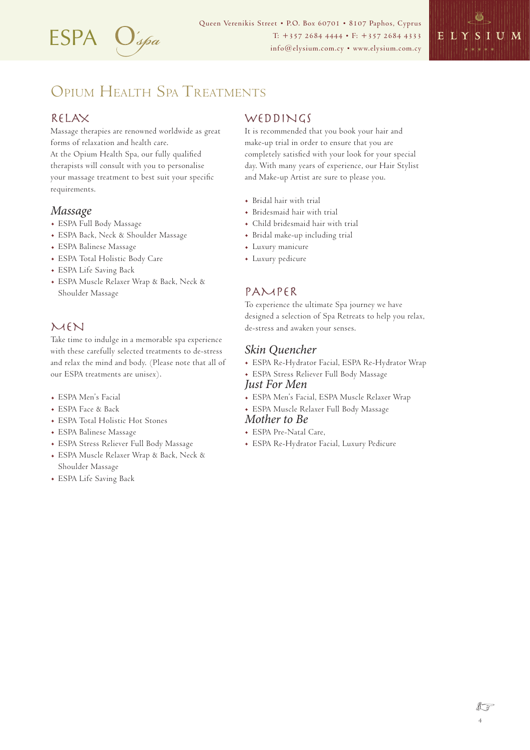

Queen Verenikis Street • P.O. Box 60701 • 8107 Paphos, Cyprus T: +357 2684 4444 • F: +357 2684 4333 ESPA info@elysium.com.cy • www.elysium.com.cy



# OPIUM HEALTH SPA TREATMENTS

#### RELAX

Massage therapies are renowned worldwide as great forms of relaxation and health care. At the Opium Health Spa, our fully qualified therapists will consult with you to personalise your massage treatment to best suit your specific requirements.

#### *Massage*

- . ESPA Full Body Massage
- . ESPA Back, Neck & Shoulder Massage
- . ESPA Balinese Massage
- . ESPA Total Holistic Body Care
- . ESPA Life Saving Back
- . ESPA Muscle Relaxer Wrap & Back, Neck & Shoulder Massage

### MEN

Take time to indulge in a memorable spa experience with these carefully selected treatments to de-stress and relax the mind and body. (Please note that all of our ESPA treatments are unisex).

- . ESPA Men's Facial
- . ESPA Face & Back
- . ESPA Total Holistic Hot Stones
- . ESPA Balinese Massage
- . ESPA Stress Reliever Full Body Massage
- . ESPA Muscle Relaxer Wrap & Back, Neck & Shoulder Massage
- . ESPA Life Saving Back

#### WEDDINGS

It is recommended that you book your hair and make-up trial in order to ensure that you are completely satisfied with your look for your special day. With many years of experience, our Hair Stylist and Make-up Artist are sure to please you.

- . Bridal hair with trial
- . Bridesmaid hair with trial
- . Child bridesmaid hair with trial
- . Bridal make-up including trial
- . Luxury manicure
- . Luxury pedicure

### PAMPER

To experience the ultimate Spa journey we have designed a selection of Spa Retreats to help you relax, de-stress and awaken your senses.

#### *Skin Quencher*

- . ESPA Re-Hydrator Facial, ESPA Re-Hydrator Wrap
- . ESPA Stress Reliever Full Body Massage *Just For Men*
- . ESPA Men's Facial, ESPA Muscle Relaxer Wrap
- . ESPA Muscle Relaxer Full Body Massage

#### *Mother to Be*

- . ESPA Pre-Natal Care,
- . ESPA Re-Hydrator Facial, Luxury Pedicure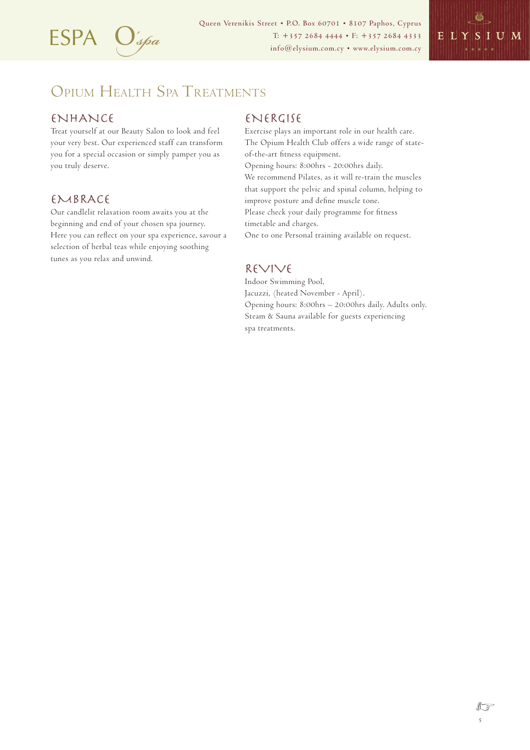

Queen Verenikis Street • P.O. Box 60701 • 8107 Paphos, Cyprus  $ESPA$   $\bigcup_{\text{space}}'$   $\bigcup_{\text{if} \text{new}}'$   $\bigcup_{\text{if} \text{new}}'$   $\bigcup_{\text{if} \text{new}}'$   $\bigcup_{\text{if} \text{new}}'$   $\bigcup_{\text{if} \text{new}}'$   $\bigcup_{\text{new}}'$   $\bigcup_{\text{new}}'$ 



# OPIUM HEALTH SPA TREATMENTS

### **ENHANCE**

Treat yourself at our Beauty Salon to look and feel your very best. Our experienced staff can transform you for a special occasion or simply pamper you as you truly deserve.

### EMBRACE

Our candlelit relaxation room awaits you at the beginning and end of your chosen spa journey. Here you can reflect on your spa experience, savour a selection of herbal teas while enjoying soothing tunes as you relax and unwind.

#### ENERGISE

Exercise plays an important role in our health care. The Opium Health Club offers a wide range of stateof-the-art fitness equipment. Opening hours: 8:00hrs - 20:00hrs daily. We recommend Pilates, as it will re-train the muscles that support the pelvic and spinal column, helping to improve posture and define muscle tone. Please check your daily programme for fitness timetable and charges. One to one Personal training available on request.

#### REVIVE

Indoor Swimming Pool, Jacuzzi, (heated November - April). Opening hours: 8:00hrs – 20:00hrs daily. Adults only. Steam & Sauna available for guests experiencing spa treatments.